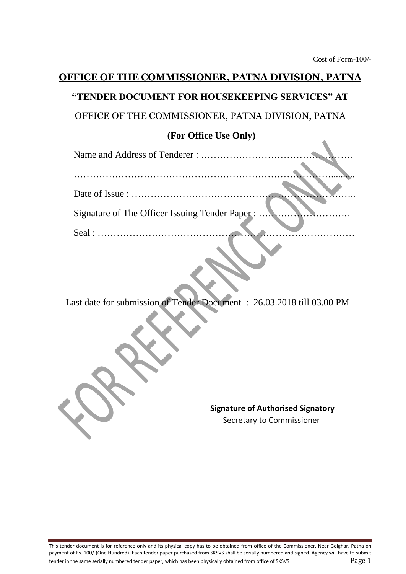$\blacktriangle$ 

# **OFFICE OF THE COMMISSIONER, PATNA DIVISION, PATNA**

# **"TENDER DOCUMENT FOR HOUSEKEEPING SERVICES" AT**

OFFICE OF THE COMMISSIONER, PATNA DIVISION, PATNA

### **(For Office Use Only)**

| Signature of The Officer Issuing Tender Paper: |  |
|------------------------------------------------|--|
|                                                |  |
|                                                |  |

Last date for submission of Tender Document : 26.03.2018 till 03.00 PM

**Signature of Authorised Signatory** Secretary to Commissioner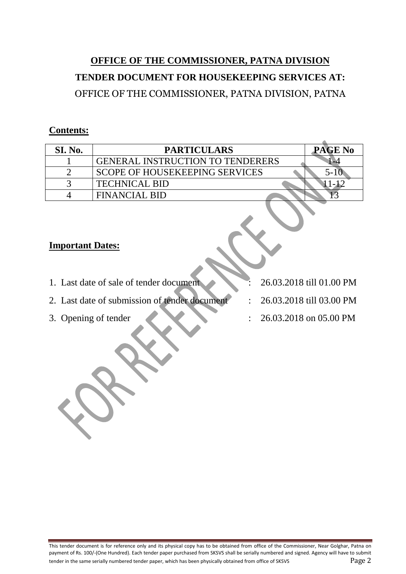# **OFFICE OF THE COMMISSIONER, PATNA DIVISION TENDER DOCUMENT FOR HOUSEKEEPING SERVICES AT:** OFFICE OF THE COMMISSIONER, PATNA DIVISION, PATNA

### **Contents:**

| SI. No. | <b>PARTICULARS</b>                      | <b>PAGE No</b> |
|---------|-----------------------------------------|----------------|
|         | <b>GENERAL INSTRUCTION TO TENDERERS</b> |                |
|         | <b>SCOPE OF HOUSEKEEPING SERVICES</b>   |                |
|         | <b>TECHNICAL BID</b>                    |                |
|         | FINANCIAL BID                           |                |

### **Important Dates:**

- 1. Last date of sale of tender document : 26.03.2018 till 01.00 PM
- 2. Last date of submission of tender document : 26.03.2018 till 03.00 PM
- 
- 
- 
- 3. Opening of tender : 26.03.2018 on 05.00 PM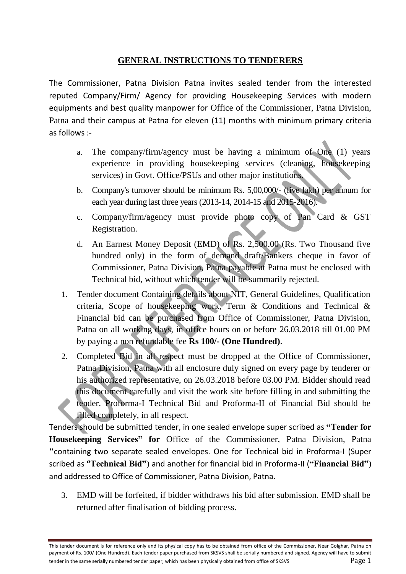### **GENERAL INSTRUCTIONS TO TENDERERS**

The Commissioner, Patna Division Patna invites sealed tender from the interested reputed Company/Firm/ Agency for providing Housekeeping Services with modern equipments and best quality manpower for Office of the Commissioner, Patna Division, Patna and their campus at Patna for eleven (11) months with minimum primary criteria as follows :-

- a. The company/firm/agency must be having a minimum of One (1) years experience in providing housekeeping services (cleaning, housekeeping services) in Govt. Office/PSUs and other major institutions.
- b. Company's turnover should be minimum Rs. 5,00,000/- (five lakh) per annum for each year during last three years (2013-14, 2014-15 and 2015-2016).
- c. Company/firm/agency must provide photo copy of Pan Card & GST Registration.
- d. An Earnest Money Deposit (EMD) of Rs. 2,500.00 (Rs. Two Thousand five hundred only) in the form of demand draft/Bankers cheque in favor of Commissioner, Patna Division, Patna payable at Patna must be enclosed with Technical bid, without which tender will be summarily rejected.
- 1. Tender document Containing details about NIT, General Guidelines, Qualification criteria, Scope of housekeeping work, Term & Conditions and Technical & Financial bid can be purchased from Office of Commissioner, Patna Division, Patna on all working days, in office hours on or before 26.03.2018 till 01.00 PM by paying a non refundable fee **Rs 100/- (One Hundred)**.
- 2. Completed Bid in all respect must be dropped at the Office of Commissioner, Patna Division, Patna with all enclosure duly signed on every page by tenderer or his authorized representative, on 26.03.2018 before 03.00 PM. Bidder should read this document carefully and visit the work site before filling in and submitting the tender. Proforma-I Technical Bid and Proforma-II of Financial Bid should be filled completely, in all respect.

Tenders should be submitted tender, in one sealed envelope super scribed as **"Tender for Housekeeping Services" for** Office of the Commissioner, Patna Division, Patna **"**containing two separate sealed envelopes. One for Technical bid in Proforma-I (Super scribed as **"Technical Bid"**) and another for financial bid in Proforma-II (**"Financial Bid"**) and addressed to Office of Commissioner, Patna Division, Patna.

3. EMD will be forfeited, if bidder withdraws his bid after submission. EMD shall be returned after finalisation of bidding process.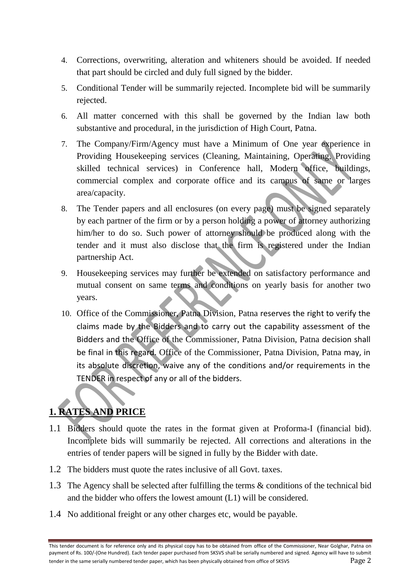- 4. Corrections, overwriting, alteration and whiteners should be avoided. If needed that part should be circled and duly full signed by the bidder.
- 5. Conditional Tender will be summarily rejected. Incomplete bid will be summarily rejected.
- 6. All matter concerned with this shall be governed by the Indian law both substantive and procedural, in the jurisdiction of High Court, Patna.
- 7. The Company/Firm/Agency must have a Minimum of One year experience in Providing Housekeeping services (Cleaning, Maintaining, Operating, Providing skilled technical services) in Conference hall, Modern office, buildings, commercial complex and corporate office and its campus of same or larges area/capacity.
- 8. The Tender papers and all enclosures (on every page) must be signed separately by each partner of the firm or by a person holding a power of attorney authorizing him/her to do so. Such power of attorney should be produced along with the tender and it must also disclose that the firm is registered under the Indian partnership Act.
- 9. Housekeeping services may further be extended on satisfactory performance and mutual consent on same terms and conditions on yearly basis for another two years.
- 10. Office of the Commissioner, Patna Division, Patna reserves the right to verify the claims made by the Bidders and to carry out the capability assessment of the Bidders and the Office of the Commissioner, Patna Division, Patna decision shall be final in this regard. Office of the Commissioner, Patna Division, Patna may, in its absolute discretion, waive any of the conditions and/or requirements in the TENDER in respect of any or all of the bidders.

# **1. RATES AND PRICE**

- 1.1 Bidders should quote the rates in the format given at Proforma-I (financial bid). Incomplete bids will summarily be rejected. All corrections and alterations in the entries of tender papers will be signed in fully by the Bidder with date.
- 1.2 The bidders must quote the rates inclusive of all Govt. taxes.
- 1.3 The Agency shall be selected after fulfilling the terms & conditions of the technical bid and the bidder who offers the lowest amount (L1) will be considered.
- 1.4 No additional freight or any other charges etc, would be payable.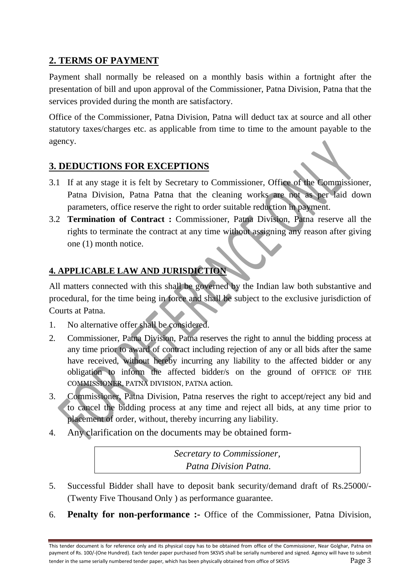### **2. TERMS OF PAYMENT**

Payment shall normally be released on a monthly basis within a fortnight after the presentation of bill and upon approval of the Commissioner, Patna Division, Patna that the services provided during the month are satisfactory.

Office of the Commissioner, Patna Division, Patna will deduct tax at source and all other statutory taxes/charges etc. as applicable from time to time to the amount payable to the agency.

### **3. DEDUCTIONS FOR EXCEPTIONS**

- 3.1 If at any stage it is felt by Secretary to Commissioner, Office of the Commissioner, Patna Division, Patna Patna that the cleaning works are not as per laid down parameters, office reserve the right to order suitable reduction in payment.
- 3.2 **Termination of Contract :** Commissioner, Patna Division, Patna reserve all the rights to terminate the contract at any time without assigning any reason after giving one (1) month notice.

### **4. APPLICABLE LAW AND JURISDICTION**

All matters connected with this shall be governed by the Indian law both substantive and procedural, for the time being in force and shall be subject to the exclusive jurisdiction of Courts at Patna.

- 1. No alternative offer shall be considered.
- 2. Commissioner, Patna Division, Patna reserves the right to annul the bidding process at any time prior to award of contract including rejection of any or all bids after the same have received, without hereby incurring any liability to the affected bidder or any obligation to inform the affected bidder/s on the ground of OFFICE OF THE COMMISSIONER, PATNA DIVISION, PATNA action.
- 3. Commissioner, Patna Division, Patna reserves the right to accept/reject any bid and to cancel the bidding process at any time and reject all bids, at any time prior to placement of order, without, thereby incurring any liability.
- 4. Any clarification on the documents may be obtained form-

*Secretary to Commissioner, Patna Division Patna.*

- 5. Successful Bidder shall have to deposit bank security/demand draft of Rs.25000/- (Twenty Five Thousand Only ) as performance guarantee.
- 6. **Penalty for non-performance :-** Office of the Commissioner, Patna Division,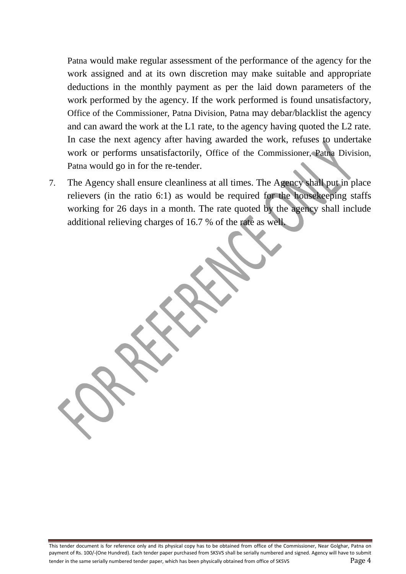Patna would make regular assessment of the performance of the agency for the work assigned and at its own discretion may make suitable and appropriate deductions in the monthly payment as per the laid down parameters of the work performed by the agency. If the work performed is found unsatisfactory, Office of the Commissioner, Patna Division, Patna may debar/blacklist the agency and can award the work at the L1 rate, to the agency having quoted the L2 rate. In case the next agency after having awarded the work, refuses to undertake work or performs unsatisfactorily, Office of the Commissioner, Patna Division, Patna would go in for the re-tender.

7. The Agency shall ensure cleanliness at all times. The Agency shall put in place relievers (in the ratio 6:1) as would be required for the housekeeping staffs working for 26 days in a month. The rate quoted by the agency shall include additional relieving charges of 16.7 % of the rate as well.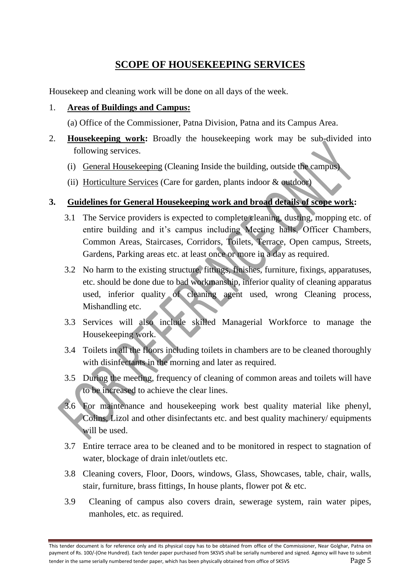## **SCOPE OF HOUSEKEEPING SERVICES**

Housekeep and cleaning work will be done on all days of the week.

#### 1. **Areas of Buildings and Campus:**

(a) Office of the Commissioner, Patna Division, Patna and its Campus Area.

- 2. **Housekeeping work:** Broadly the housekeeping work may be sub-divided into following services.
	- (i) General Housekeeping (Cleaning Inside the building, outside the campus)
	- (ii) Horticulture Services (Care for garden, plants indoor & outdoor)

### **3. Guidelines for General Housekeeping work and broad details of scope work:**

- 3.1 The Service providers is expected to complete cleaning, dusting, mopping etc. of entire building and it's campus including Meeting halls, Officer Chambers, Common Areas, Staircases, Corridors, Toilets, Terrace, Open campus, Streets, Gardens, Parking areas etc. at least once or more in a day as required.
- 3.2 No harm to the existing structure, fittings, finishes, furniture, fixings, apparatuses, etc. should be done due to bad workmanship, inferior quality of cleaning apparatus used, inferior quality of cleaning agent used, wrong Cleaning process, Mishandling etc.
- 3.3 Services will also include skilled Managerial Workforce to manage the Housekeeping work.
- 3.4 Toilets in all the floors including toilets in chambers are to be cleaned thoroughly with disinfectants in the morning and later as required.
- 3.5 During the meeting, frequency of cleaning of common areas and toilets will have to be increased to achieve the clear lines.
- 3.6 For maintenance and housekeeping work best quality material like phenyl, Colins, Lizol and other disinfectants etc. and best quality machinery/ equipments will be used.
- 3.7 Entire terrace area to be cleaned and to be monitored in respect to stagnation of water, blockage of drain inlet/outlets etc.
- 3.8 Cleaning covers, Floor, Doors, windows, Glass, Showcases, table, chair, walls, stair, furniture, brass fittings, In house plants, flower pot & etc.
- 3.9 Cleaning of campus also covers drain, sewerage system, rain water pipes, manholes, etc. as required.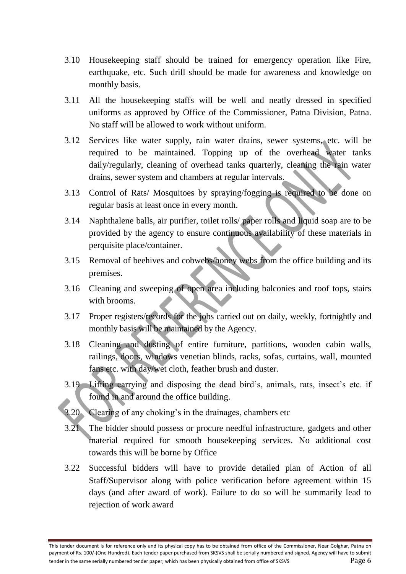- 3.10 Housekeeping staff should be trained for emergency operation like Fire, earthquake, etc. Such drill should be made for awareness and knowledge on monthly basis.
- 3.11 All the housekeeping staffs will be well and neatly dressed in specified uniforms as approved by Office of the Commissioner, Patna Division, Patna. No staff will be allowed to work without uniform.
- 3.12 Services like water supply, rain water drains, sewer systems, etc. will be required to be maintained. Topping up of the overhead water tanks daily/regularly, cleaning of overhead tanks quarterly, cleaning the rain water drains, sewer system and chambers at regular intervals.
- 3.13 Control of Rats/ Mosquitoes by spraying/fogging is required to be done on regular basis at least once in every month.
- 3.14 Naphthalene balls, air purifier, toilet rolls/ paper rolls and liquid soap are to be provided by the agency to ensure continuous availability of these materials in perquisite place/container.
- 3.15 Removal of beehives and cobwebs/honey webs from the office building and its premises.
- 3.16 Cleaning and sweeping of open area including balconies and roof tops, stairs with brooms.
- 3.17 Proper registers/records for the jobs carried out on daily, weekly, fortnightly and monthly basis will be maintained by the Agency.
- 3.18 Cleaning and dusting of entire furniture, partitions, wooden cabin walls, railings, doors, windows venetian blinds, racks, sofas, curtains, wall, mounted fans etc. with day/wet cloth, feather brush and duster.
- 3.19 Lifting carrying and disposing the dead bird's, animals, rats, insect's etc. if found in and around the office building.
- 3.20 Clearing of any choking's in the drainages, chambers etc
- 3.21 The bidder should possess or procure needful infrastructure, gadgets and other material required for smooth housekeeping services. No additional cost towards this will be borne by Office
- 3.22 Successful bidders will have to provide detailed plan of Action of all Staff/Supervisor along with police verification before agreement within 15 days (and after award of work). Failure to do so will be summarily lead to rejection of work award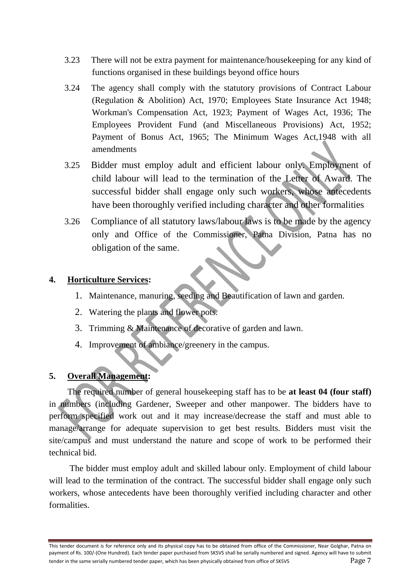- 3.23 There will not be extra payment for maintenance/housekeeping for any kind of functions organised in these buildings beyond office hours
- 3.24 The agency shall comply with the statutory provisions of Contract Labour (Regulation & Abolition) Act, 1970; Employees State Insurance Act 1948; Workman's Compensation Act, 1923; Payment of Wages Act, 1936; The Employees Provident Fund (and Miscellaneous Provisions) Act, 1952; Payment of Bonus Act, 1965; The Minimum Wages Act,1948 with all amendments
- 3.25 Bidder must employ adult and efficient labour only. Employment of child labour will lead to the termination of the Letter of Award. The successful bidder shall engage only such workers, whose antecedents have been thoroughly verified including character and other formalities
- 3.26 Compliance of all statutory laws/labour laws is to be made by the agency only and Office of the Commissioner, Patna Division, Patna has no obligation of the same.

### **4. Horticulture Services:**

- 1. Maintenance, manuring, seeding and Beautification of lawn and garden.
- 2. Watering the plants and flower pots.
- 3. Trimming & Maintenance of decorative of garden and lawn.
- 4. Improvement of ambiance/greenery in the campus.

#### **5. Overall Management:**

The required number of general housekeeping staff has to be **at least 04 (four staff)** in numbers (including Gardener, Sweeper and other manpower. The bidders have to perform specified work out and it may increase/decrease the staff and must able to manage/arrange for adequate supervision to get best results. Bidders must visit the site/campus and must understand the nature and scope of work to be performed their technical bid.

The bidder must employ adult and skilled labour only. Employment of child labour will lead to the termination of the contract. The successful bidder shall engage only such workers, whose antecedents have been thoroughly verified including character and other formalities.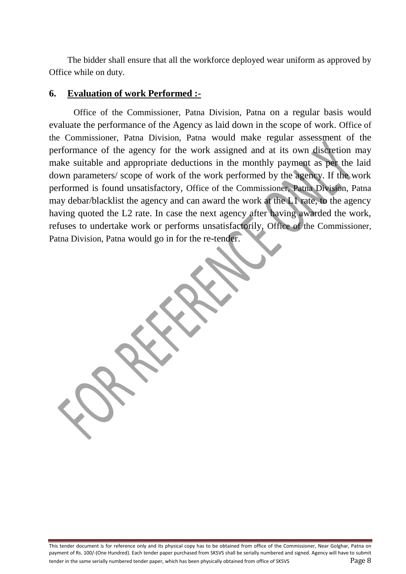The bidder shall ensure that all the workforce deployed wear uniform as approved by Office while on duty.

### **6. Evaluation of work Performed :-**

Office of the Commissioner, Patna Division, Patna on a regular basis would evaluate the performance of the Agency as laid down in the scope of work. Office of the Commissioner, Patna Division, Patna would make regular assessment of the performance of the agency for the work assigned and at its own discretion may make suitable and appropriate deductions in the monthly payment as per the laid down parameters/ scope of work of the work performed by the agency. If the work performed is found unsatisfactory, Office of the Commissioner, Patna Division, Patna may debar/blacklist the agency and can award the work at the L1 rate, to the agency having quoted the L2 rate. In case the next agency after having awarded the work, refuses to undertake work or performs unsatisfactorily, Office of the Commissioner, Patna Division, Patna would go in for the re-tender.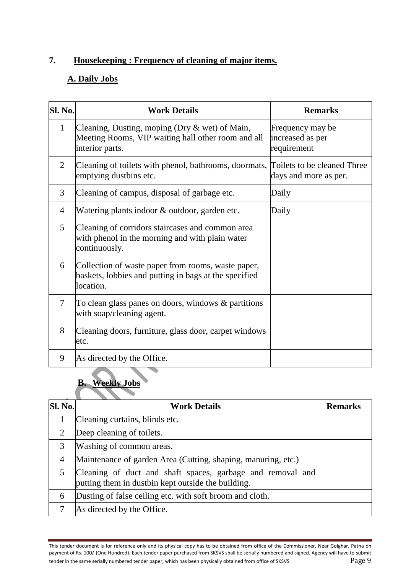## **7. Housekeeping : Frequency of cleaning of major items.**

### **A. Daily Jobs**

| <b>Sl. No.</b> | <b>Work Details</b>                                                                                                        | <b>Remarks</b>                                       |
|----------------|----------------------------------------------------------------------------------------------------------------------------|------------------------------------------------------|
| 1              | Cleaning, Dusting, moping (Dry $\&$ wet) of Main,<br>Meeting Rooms, VIP waiting hall other room and all<br>interior parts. | Frequency may be<br>increased as per<br>requirement  |
| $\overline{2}$ | Cleaning of toilets with phenol, bathrooms, doormats,<br>emptying dustbins etc.                                            | Toilets to be cleaned Three<br>days and more as per. |
| 3              | Cleaning of campus, disposal of garbage etc.                                                                               | Daily                                                |
| $\overline{4}$ | Watering plants indoor & outdoor, garden etc.                                                                              | Daily                                                |
| 5              | Cleaning of corridors staircases and common area<br>with phenol in the morning and with plain water<br>continuously.       |                                                      |
| 6              | Collection of waste paper from rooms, waste paper,<br>baskets, lobbies and putting in bags at the specified<br>location.   |                                                      |
| 7              | To clean glass panes on doors, windows $\&$ partitions<br>with soap/cleaning agent.                                        |                                                      |
| 8              | Cleaning doors, furniture, glass door, carpet windows<br>etc.                                                              |                                                      |
| 9              | As directed by the Office.                                                                                                 |                                                      |

# **B. Weekly Jobs**

| <b>Sl. No.</b>              | <b>Work Details</b>                                                                                              | <b>Remarks</b> |
|-----------------------------|------------------------------------------------------------------------------------------------------------------|----------------|
|                             | Cleaning curtains, blinds etc.                                                                                   |                |
| $\mathcal{D}_{\mathcal{L}}$ | Deep cleaning of toilets.                                                                                        |                |
| 3                           | Washing of common areas.                                                                                         |                |
| $\overline{4}$              | Maintenance of garden Area (Cutting, shaping, manuring, etc.)                                                    |                |
|                             | Cleaning of duct and shaft spaces, garbage and removal and<br>putting them in dustbin kept outside the building. |                |
| 6                           | Dusting of false ceiling etc. with soft broom and cloth.                                                         |                |
|                             | As directed by the Office.                                                                                       |                |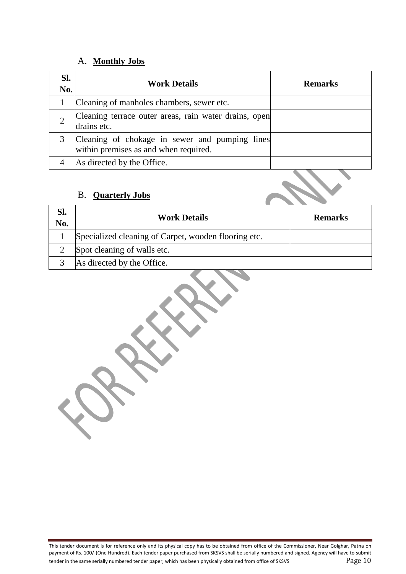### A. **Monthly Jobs**

| SI.<br>No. | <b>Work Details</b>                                                                     | <b>Remarks</b> |
|------------|-----------------------------------------------------------------------------------------|----------------|
|            | Cleaning of manholes chambers, sewer etc.                                               |                |
|            | Cleaning terrace outer areas, rain water drains, open<br>drains etc.                    |                |
|            | Cleaning of chokage in sewer and pumping lines<br>within premises as and when required. |                |
|            | As directed by the Office.                                                              |                |

### B. **Quarterly Jobs**

| SI.<br>No. | <b>Work Details</b>                                  | <b>Remarks</b> |
|------------|------------------------------------------------------|----------------|
|            | Specialized cleaning of Carpet, wooden flooring etc. |                |
|            | Spot cleaning of walls etc.                          |                |
|            | As directed by the Office.                           |                |

 $\tilde{\mathbf{X}}$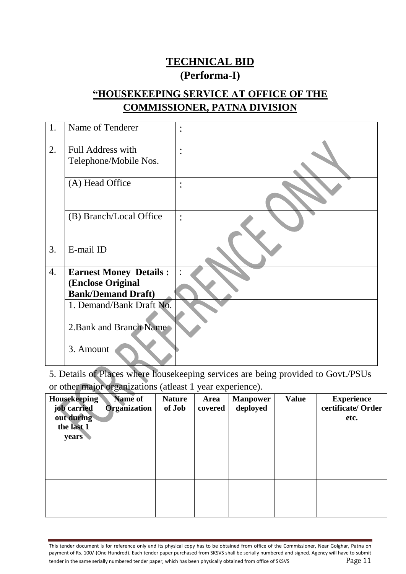# **TECHNICAL BID**

# **(Performa-I)**

# **"HOUSEKEEPING SERVICE AT OFFICE OF THE COMMISSIONER, PATNA DIVISION**

| 1. | Name of Tenderer              | $\ddot{\cdot}$ |  |
|----|-------------------------------|----------------|--|
| 2. | Full Address with             | $\bullet$      |  |
|    | Telephone/Mobile Nos.         |                |  |
|    | (A) Head Office               | $\ddot{\cdot}$ |  |
|    | (B) Branch/Local Office       | $\ddot{\cdot}$ |  |
| 3. | E-mail ID                     |                |  |
| 4. | <b>Earnest Money Details:</b> |                |  |
|    | (Enclose Original             |                |  |
|    | <b>Bank/Demand Draft)</b>     |                |  |
|    | 1. Demand/Bank Draft No.      |                |  |
|    | 2. Bank and Branch Name       |                |  |
|    |                               |                |  |
|    | 3. Amount                     |                |  |

5. Details of Places where housekeeping services are being provided to Govt./PSUs or other major organizations (atleast 1 year experience).

| <b>Housekeeping</b><br>job carried<br>out during<br>the last 1<br>years | Name of<br><b>Organization</b> | <b>Nature</b><br>of Job | Area<br>covered | <b>Manpower</b><br>deployed | <b>Value</b> | <b>Experience</b><br>certificate/Order<br>etc. |
|-------------------------------------------------------------------------|--------------------------------|-------------------------|-----------------|-----------------------------|--------------|------------------------------------------------|
|                                                                         |                                |                         |                 |                             |              |                                                |
|                                                                         |                                |                         |                 |                             |              |                                                |

This tender document is for reference only and its physical copy has to be obtained from office of the Commissioner, Near Golghar, Patna on payment of Rs. 100/-(One Hundred). Each tender paper purchased from SKSVS shall be serially numbered and signed. Agency will have to submit tender in the same serially numbered tender paper, which has been physically obtained from office of SKSVS  $\qquad \qquad$   $\qquad$   $\qquad$   $\qquad$   $\qquad$   $\qquad$   $\qquad$   $\qquad$   $\qquad$   $\qquad$   $\qquad$   $\qquad$   $\qquad$   $\qquad$   $\qquad$   $\qquad$   $\qquad$   $\qquad$   $\q$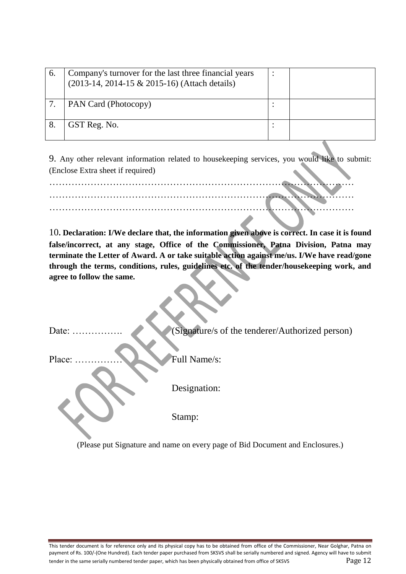| 6. | Company's turnover for the last three financial years<br>(2013-14, 2014-15 & 2015-16) (Attach details) |  |
|----|--------------------------------------------------------------------------------------------------------|--|
|    | <b>PAN Card (Photocopy)</b>                                                                            |  |
|    | GST Reg. No.                                                                                           |  |

9. Any other relevant information related to housekeeping services, you would like to submit: (Enclose Extra sheet if required)

10**. Declaration: I/We declare that, the information given above is correct. In case it is found false/incorrect, at any stage, Office of the Commissioner, Patna Division, Patna may terminate the Letter of Award. A or take suitable action against me/us. I/We have read/gone through the terms, conditions, rules, guidelines etc. of the tender/housekeeping work, and agree to follow the same.**

Date: ……………. (Signature/s of the tenderer/Authorized person)

Place: …………… Full Name/s:

Designation:

Stamp:

(Please put Signature and name on every page of Bid Document and Enclosures.)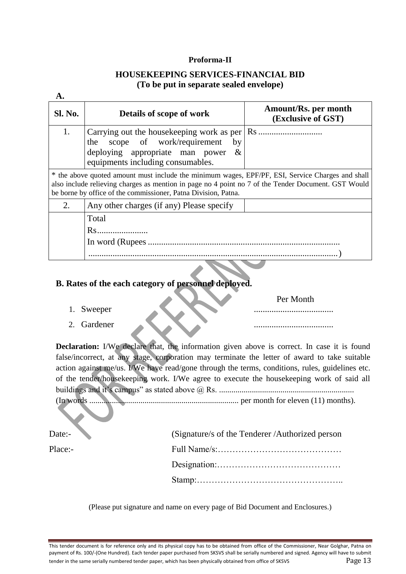#### **Proforma-II**

#### **HOUSEKEEPING SERVICES-FINANCIAL BID (To be put in separate sealed envelope)**

| Sl. No. | Details of scope of work                                                                                                                                                                                                                                                  | Amount/Rs. per month<br>(Exclusive of GST) |
|---------|---------------------------------------------------------------------------------------------------------------------------------------------------------------------------------------------------------------------------------------------------------------------------|--------------------------------------------|
| 1.      | the scope of work/requirement<br>by<br>deploying appropriate man power<br>$-\&$<br>equipments including consumables.                                                                                                                                                      |                                            |
|         | * the above quoted amount must include the minimum wages, EPF/PF, ESI, Service Charges and shall<br>also include relieving charges as mention in page no 4 point no 7 of the Tender Document. GST Would<br>be borne by office of the commissioner, Patna Division, Patna. |                                            |
| 2.      | Any other charges (if any) Please specify                                                                                                                                                                                                                                 |                                            |
|         | Total                                                                                                                                                                                                                                                                     |                                            |
|         |                                                                                                                                                                                                                                                                           |                                            |
|         |                                                                                                                                                                                                                                                                           |                                            |
|         |                                                                                                                                                                                                                                                                           |                                            |

#### **B. Rates of the each category of personnel deployed.**

- 1. Sweeper ....................................
- 2. Gardener ....................................

**Declaration:** I/We declare that, the information given above is correct. In case it is found false/incorrect, at any stage, corporation may terminate the letter of award to take suitable action against me/us. I/We have read/gone through the terms, conditions, rules, guidelines etc. of the tender/housekeeping work. I/We agree to execute the housekeeping work of said all buildings and it's campus" as stated above @ Rs. .................................................................. (In words ......................................................................... per month for eleven (11) months).

Per Month

| Date:-  | (Signature/s of the Tenderer /Authorized person |
|---------|-------------------------------------------------|
| Place:- |                                                 |
|         |                                                 |
|         |                                                 |

(Please put signature and name on every page of Bid Document and Enclosures.)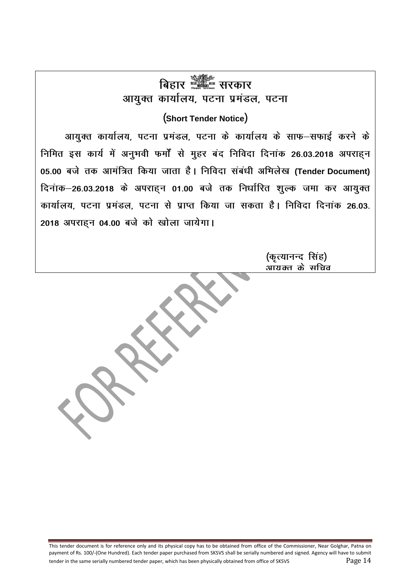# **fcgkj ljdkj** आयुक्त कार्यालय, पटना प्रमंडल, पटना

## **¼Short Tender Notice½**

आयुक्त कार्यालय, पटना प्रमंडल, पटना के कार्यालय के साफ-सफाई करने के निमित इस कार्य में अनुभवी फर्मों से मुहर बंद निविदा दिनांक 26.03.2018 अपराहन 05.00 बजे तक आमंत्रित किया जाता है। निविदा संबंधी अभिलेख (Tender Document) <u>दिनांक-26.03.2018</u> के अपराहन 01.00 बजे तक निर्धारित शुल्क जमा कर आयुक्त कार्यालय, पटना प्रमंडल, पटना से प्राप्त किया जा सकता है। निविदा दिनांक 26.03. **2018 अपराह्न 04.00 बजे को खोला जायेगा।** 

> (कृत्यानन्द सिंह) <u>आराक्त के सचिव</u>